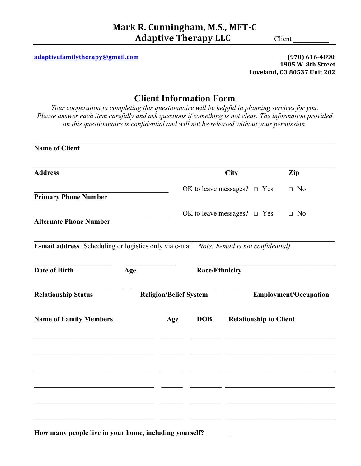**adaptivefamilytherapy@gmail.com (970) 616-4890**

**1905 W. 8th Street Loveland, CO 80537 Unit 202**

# **Client Information Form**

*Your cooperation in completing this questionnaire will be helpful in planning services for you. Please answer each item carefully and ask questions if something is not clear. The information provided on this questionnaire is confidential and will not be released without your permission.*

 $\mathcal{L}_\mathcal{L} = \{ \mathcal{L}_\mathcal{L} = \{ \mathcal{L}_\mathcal{L} = \{ \mathcal{L}_\mathcal{L} = \{ \mathcal{L}_\mathcal{L} = \{ \mathcal{L}_\mathcal{L} = \{ \mathcal{L}_\mathcal{L} = \{ \mathcal{L}_\mathcal{L} = \{ \mathcal{L}_\mathcal{L} = \{ \mathcal{L}_\mathcal{L} = \{ \mathcal{L}_\mathcal{L} = \{ \mathcal{L}_\mathcal{L} = \{ \mathcal{L}_\mathcal{L} = \{ \mathcal{L}_\mathcal{L} = \{ \mathcal{L}_\mathcal{$ 

| <b>Name of Client</b>                                                                      |     |                               |                                  |                                     |                              |  |  |
|--------------------------------------------------------------------------------------------|-----|-------------------------------|----------------------------------|-------------------------------------|------------------------------|--|--|
| <b>Address</b>                                                                             |     |                               |                                  | <b>City</b>                         | Zip                          |  |  |
| <b>Primary Phone Number</b>                                                                |     |                               |                                  | OK to leave messages? $\square$ Yes | $\Box$ No                    |  |  |
| <b>Alternate Phone Number</b>                                                              |     |                               | OK to leave messages? $\Box$ Yes | $\Box$ No                           |                              |  |  |
| E-mail address (Scheduling or logistics only via e-mail. Note: E-mail is not confidential) |     |                               |                                  |                                     |                              |  |  |
| <b>Date of Birth</b>                                                                       | Age |                               | Race/Ethnicity                   |                                     |                              |  |  |
| <b>Relationship Status</b>                                                                 |     | <b>Religion/Belief System</b> |                                  |                                     | <b>Employment/Occupation</b> |  |  |
| <b>Name of Family Members</b>                                                              |     | $\mathbf{Age}$                | <b>DOB</b>                       | <b>Relationship to Client</b>       |                              |  |  |
|                                                                                            |     |                               |                                  |                                     |                              |  |  |
|                                                                                            |     |                               |                                  |                                     |                              |  |  |
|                                                                                            |     |                               |                                  |                                     |                              |  |  |
|                                                                                            |     |                               |                                  |                                     |                              |  |  |
| How many people live in your home, including yourself?                                     |     |                               |                                  |                                     |                              |  |  |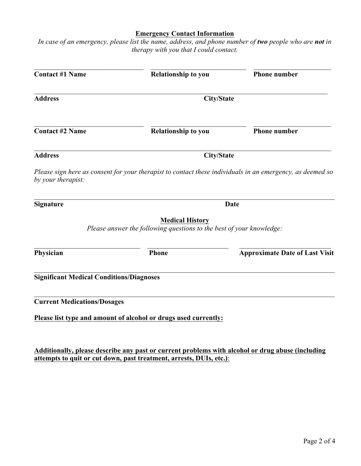### **Emergency Contact Information**

*In case of an emergency, please list the name, address, and phone number of two people who are not in therapy with you that I could contact.*

| <b>Contact #1 Name</b>                          | Relationship to you                                                                            | <b>Phone number</b>                                                                                       |  |  |  |  |
|-------------------------------------------------|------------------------------------------------------------------------------------------------|-----------------------------------------------------------------------------------------------------------|--|--|--|--|
| <b>Address</b>                                  | <b>City/State</b>                                                                              |                                                                                                           |  |  |  |  |
| <b>Contact #2 Name</b>                          | Relationship to you                                                                            | <b>Phone number</b>                                                                                       |  |  |  |  |
| <b>Address</b>                                  |                                                                                                | <b>City/State</b>                                                                                         |  |  |  |  |
| by your therapist:                              |                                                                                                | Please sign here as consent for your therapist to contact these individuals in an emergency, as deemed so |  |  |  |  |
| <b>Signature</b>                                |                                                                                                | <b>Date</b>                                                                                               |  |  |  |  |
|                                                 | <b>Medical History</b><br>Please answer the following questions to the best of your knowledge: |                                                                                                           |  |  |  |  |
| Physician                                       | <b>Phone</b>                                                                                   | <b>Approximate Date of Last Visit</b>                                                                     |  |  |  |  |
| <b>Significant Medical Conditions/Diagnoses</b> |                                                                                                |                                                                                                           |  |  |  |  |
| <b>Current Medications/Dosages</b>              |                                                                                                |                                                                                                           |  |  |  |  |
|                                                 | Please list type and amount of alcohol or drugs used currently:                                |                                                                                                           |  |  |  |  |
|                                                 |                                                                                                |                                                                                                           |  |  |  |  |

**Additionally, please describe any past or current problems with alcohol or drug abuse (including attempts to quit or cut down, past treatment, arrests, DUIs, etc.)**: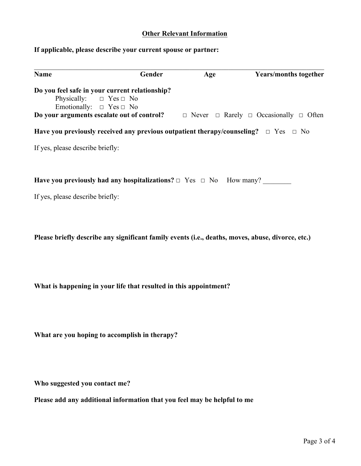### **Other Relevant Information**

## **If applicable, please describe your current spouse or partner:**

| Name                                                                         | Gender | Age | <b>Years/months together</b>                                                                                  |
|------------------------------------------------------------------------------|--------|-----|---------------------------------------------------------------------------------------------------------------|
| Do you feel safe in your current relationship?                               |        |     |                                                                                                               |
| Physically: $\Box$ Yes $\Box$ No                                             |        |     |                                                                                                               |
| Emotionally: $\Box$ Yes $\Box$ No                                            |        |     |                                                                                                               |
|                                                                              |        |     | <b>Do your arguments escalate out of control?</b> $\Box$ Never $\Box$ Rarely $\Box$ Occasionally $\Box$ Often |
|                                                                              |        |     | Have you previously received any previous outpatient therapy/counseling? $\Box$ Yes $\Box$ No                 |
| If yes, please describe briefly:                                             |        |     |                                                                                                               |
|                                                                              |        |     |                                                                                                               |
| Have you previously had any hospitalizations? $\Box$ Yes $\Box$ No How many? |        |     |                                                                                                               |
| If yes, please describe briefly:                                             |        |     |                                                                                                               |
|                                                                              |        |     |                                                                                                               |
|                                                                              |        |     |                                                                                                               |
|                                                                              |        |     | Please briefly describe any significant family events (i.e., deaths, moves, abuse, divorce, etc.)             |
|                                                                              |        |     |                                                                                                               |
|                                                                              |        |     |                                                                                                               |

**What is happening in your life that resulted in this appointment?** 

**What are you hoping to accomplish in therapy?** 

**Who suggested you contact me?**

**Please add any additional information that you feel may be helpful to me**